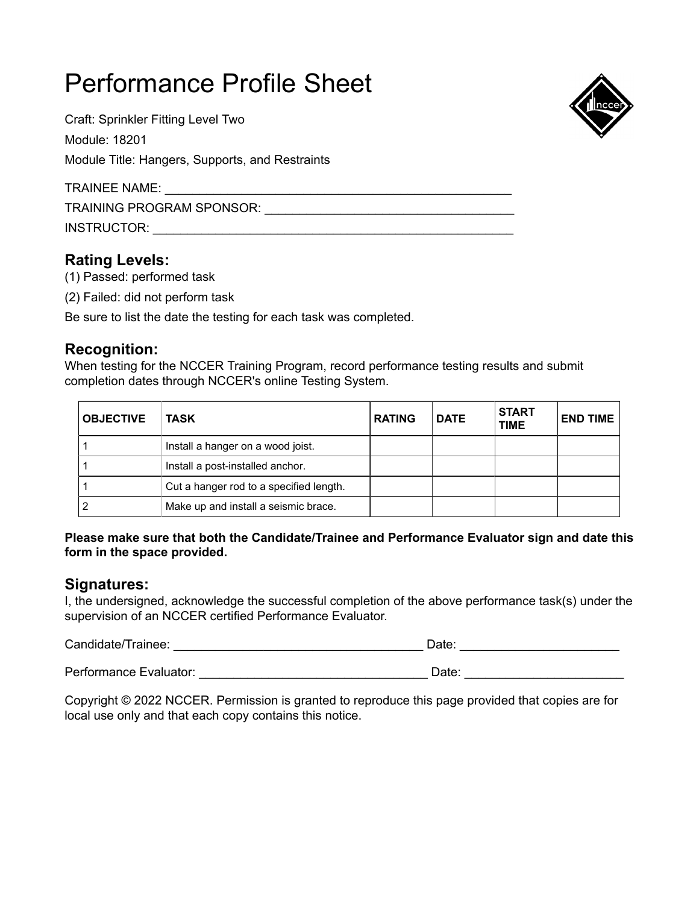Craft: Sprinkler Fitting Level Two Module: 18201 Module Title: Hangers, Supports, and Restraints

TRAINEE NAME: \_\_\_\_\_\_\_\_\_\_\_\_\_\_\_\_\_\_\_\_\_\_\_\_\_\_\_\_\_\_\_\_\_\_\_\_\_\_\_\_\_\_\_\_\_\_\_\_\_\_ TRAINING PROGRAM SPONSOR: \_\_\_\_\_\_\_\_\_\_\_\_\_\_\_\_\_\_\_\_\_\_\_\_\_\_\_\_\_\_\_\_\_\_\_\_ INSTRUCTOR: \_\_\_\_\_\_\_\_\_\_\_\_\_\_\_\_\_\_\_\_\_\_\_\_\_\_\_\_\_\_\_\_\_\_\_\_\_\_\_\_\_\_\_\_\_\_\_\_\_\_\_\_

### **Rating Levels:**

- (1) Passed: performed task
- (2) Failed: did not perform task

Be sure to list the date the testing for each task was completed.

### **Recognition:**

When testing for the NCCER Training Program, record performance testing results and submit completion dates through NCCER's online Testing System.

| <b>OBJECTIVE</b> | <b>TASK</b>                             | <b>RATING</b> | <b>DATE</b> | <b>START</b><br><b>TIME</b> | <b>END TIME</b> |
|------------------|-----------------------------------------|---------------|-------------|-----------------------------|-----------------|
|                  | Install a hanger on a wood joist.       |               |             |                             |                 |
|                  | Install a post-installed anchor.        |               |             |                             |                 |
|                  | Cut a hanger rod to a specified length. |               |             |                             |                 |
|                  | Make up and install a seismic brace.    |               |             |                             |                 |

**Please make sure that both the Candidate/Trainee and Performance Evaluator sign and date this form in the space provided.**

#### **Signatures:**

I, the undersigned, acknowledge the successful completion of the above performance task(s) under the supervision of an NCCER certified Performance Evaluator.

Candidate/Trainee: \_\_\_\_\_\_\_\_\_\_\_\_\_\_\_\_\_\_\_\_\_\_\_\_\_\_\_\_\_\_\_\_\_\_\_\_ Date: \_\_\_\_\_\_\_\_\_\_\_\_\_\_\_\_\_\_\_\_\_\_\_

Performance Evaluator: etc. and the example of the example of the example of the example of the example of the example of the example of the example of the example of the example of the example of the example of the exampl

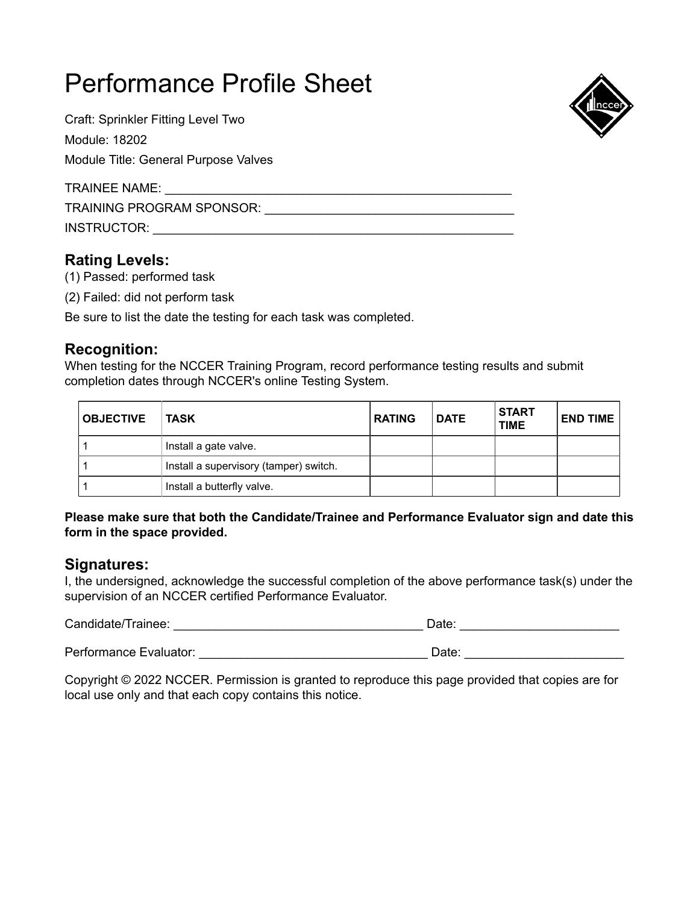Craft: Sprinkler Fitting Level Two Module: 18202

Module Title: General Purpose Valves

TRAINEE NAME:

TRAINING PROGRAM SPONSOR: \_\_\_\_\_\_\_\_\_\_\_\_\_\_\_\_\_\_\_\_\_\_\_\_\_\_\_\_\_\_\_\_\_\_\_\_

INSTRUCTOR: \_\_\_\_\_\_\_\_\_\_\_\_\_\_\_\_\_\_\_\_\_\_\_\_\_\_\_\_\_\_\_\_\_\_\_\_\_\_\_\_\_\_\_\_\_\_\_\_\_\_\_\_

### **Rating Levels:**

- (1) Passed: performed task
- (2) Failed: did not perform task

Be sure to list the date the testing for each task was completed.

### **Recognition:**

When testing for the NCCER Training Program, record performance testing results and submit completion dates through NCCER's online Testing System.

| <b>OBJECTIVE</b> | ∣ TASK                                 | <b>RATING</b> | <b>DATE</b> | <b>START</b><br><b>TIME</b> | <b>END TIME</b> |
|------------------|----------------------------------------|---------------|-------------|-----------------------------|-----------------|
|                  | Install a gate valve.                  |               |             |                             |                 |
|                  | Install a supervisory (tamper) switch. |               |             |                             |                 |
|                  | Install a butterfly valve.             |               |             |                             |                 |

#### **Please make sure that both the Candidate/Trainee and Performance Evaluator sign and date this form in the space provided.**

### **Signatures:**

I, the undersigned, acknowledge the successful completion of the above performance task(s) under the supervision of an NCCER certified Performance Evaluator.

Candidate/Trainee: \_\_\_\_\_\_\_\_\_\_\_\_\_\_\_\_\_\_\_\_\_\_\_\_\_\_\_\_\_\_\_\_\_\_\_\_ Date: \_\_\_\_\_\_\_\_\_\_\_\_\_\_\_\_\_\_\_\_\_\_\_

Performance Evaluator: \_\_\_\_\_\_\_\_\_\_\_\_\_\_\_\_\_\_\_\_\_\_\_\_\_\_\_\_\_\_\_\_\_ Date: \_\_\_\_\_\_\_\_\_\_\_\_\_\_\_\_\_\_\_\_\_\_\_

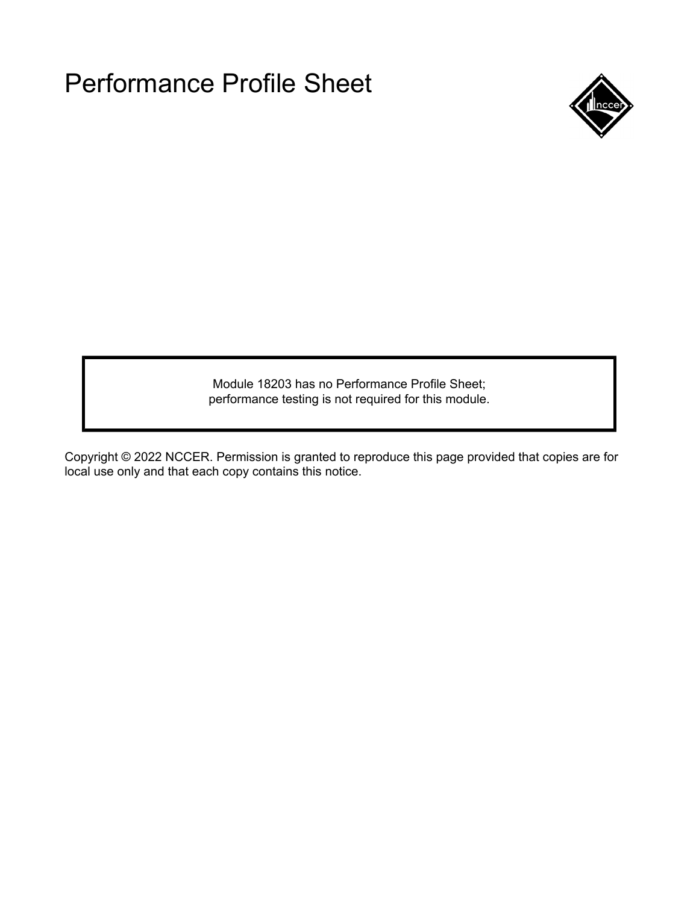

Module 18203 has no Performance Profile Sheet; performance testing is not required for this module.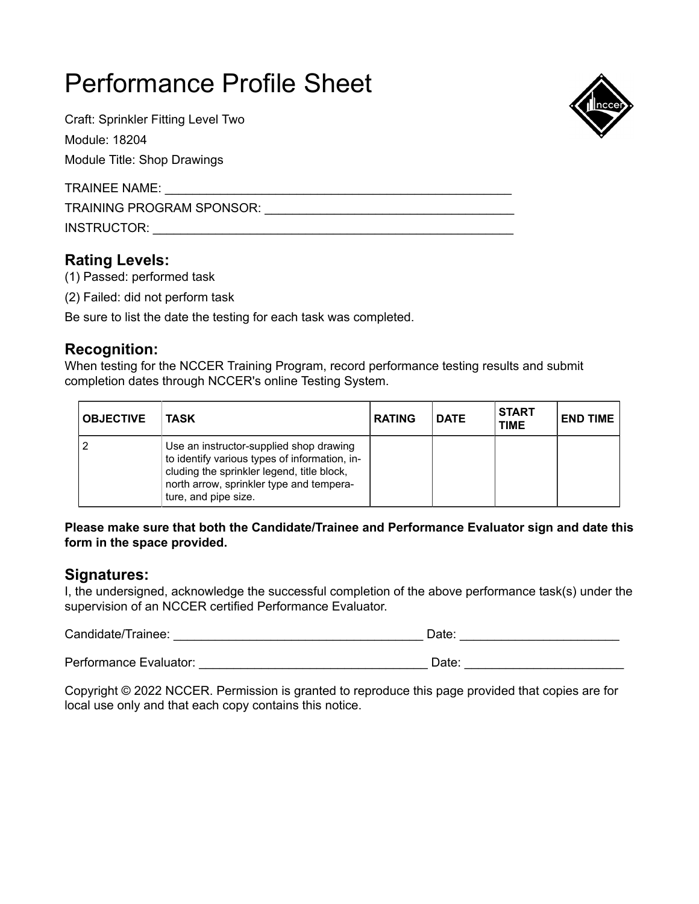Craft: Sprinkler Fitting Level Two

Module: 18204

Module Title: Shop Drawings

TRAINEE NAME: \_\_\_\_\_\_\_\_\_\_\_\_\_\_\_\_\_\_\_\_\_\_\_\_\_\_\_\_\_\_\_\_\_\_\_\_\_\_\_\_\_\_\_\_\_\_\_\_\_\_

TRAINING PROGRAM SPONSOR: \_\_\_\_\_\_\_\_\_\_\_\_\_\_\_\_\_\_\_\_\_\_\_\_\_\_\_\_\_\_\_\_\_\_\_\_

INSTRUCTOR: \_\_\_\_\_\_\_\_\_\_\_\_\_\_\_\_\_\_\_\_\_\_\_\_\_\_\_\_\_\_\_\_\_\_\_\_\_\_\_\_\_\_\_\_\_\_\_\_\_\_\_\_

## **Rating Levels:**

(1) Passed: performed task

(2) Failed: did not perform task

Be sure to list the date the testing for each task was completed.

## **Recognition:**

When testing for the NCCER Training Program, record performance testing results and submit completion dates through NCCER's online Testing System.

| <b>OBJECTIVE</b> | TASK                                                                                                                                                                                                       | <b>RATING</b> | <b>DATE</b> | <b>START</b><br><b>TIME</b> | <b>END TIME</b> |
|------------------|------------------------------------------------------------------------------------------------------------------------------------------------------------------------------------------------------------|---------------|-------------|-----------------------------|-----------------|
|                  | Use an instructor-supplied shop drawing<br>to identify various types of information, in-<br>cluding the sprinkler legend, title block,<br>north arrow, sprinkler type and tempera-<br>ture, and pipe size. |               |             |                             |                 |

#### **Please make sure that both the Candidate/Trainee and Performance Evaluator sign and date this form in the space provided.**

## **Signatures:**

I, the undersigned, acknowledge the successful completion of the above performance task(s) under the supervision of an NCCER certified Performance Evaluator.

Candidate/Trainee: \_\_\_\_\_\_\_\_\_\_\_\_\_\_\_\_\_\_\_\_\_\_\_\_\_\_\_\_\_\_\_\_\_\_\_\_ Date: \_\_\_\_\_\_\_\_\_\_\_\_\_\_\_\_\_\_\_\_\_\_\_

Performance Evaluator: \_\_\_\_\_\_\_\_\_\_\_\_\_\_\_\_\_\_\_\_\_\_\_\_\_\_\_\_\_\_\_\_\_ Date: \_\_\_\_\_\_\_\_\_\_\_\_\_\_\_\_\_\_\_\_\_\_\_

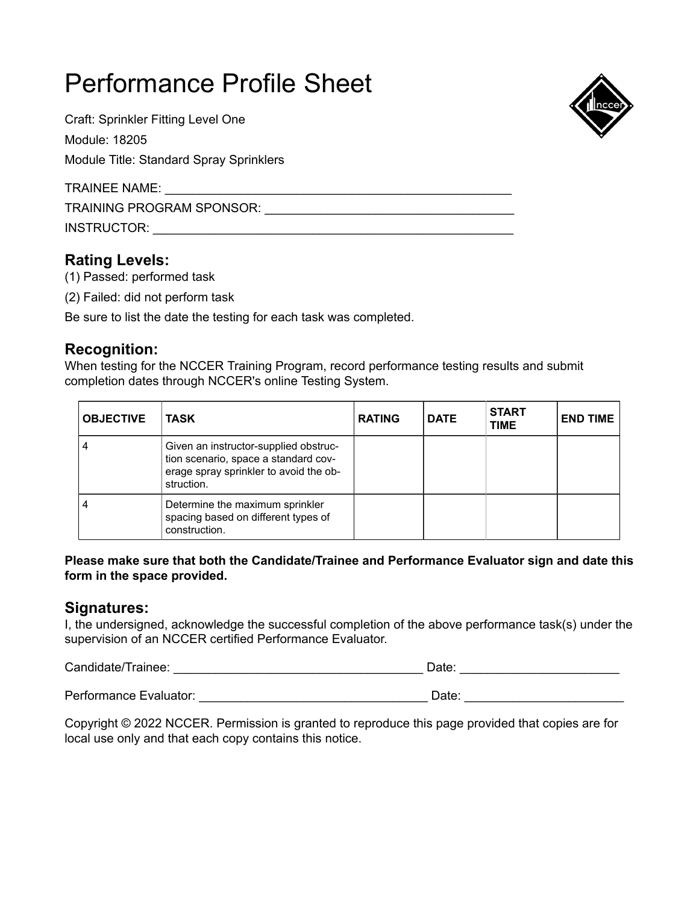Craft: Sprinkler Fitting Level One Module: 18205 Module Title: Standard Spray Sprinklers

TRAINEE NAME: \_\_\_\_\_\_\_\_\_\_\_\_\_\_\_\_\_\_\_\_\_\_\_\_\_\_\_\_\_\_\_\_\_\_\_\_\_\_\_\_\_\_\_\_\_\_\_\_\_\_

TRAINING PROGRAM SPONSOR: \_\_\_\_\_\_\_\_\_\_\_\_\_\_\_\_\_\_\_\_\_\_\_\_\_\_\_\_\_\_\_\_\_\_\_\_

INSTRUCTOR: \_\_\_\_\_\_\_\_\_\_\_\_\_\_\_\_\_\_\_\_\_\_\_\_\_\_\_\_\_\_\_\_\_\_\_\_\_\_\_\_\_\_\_\_\_\_\_\_\_\_\_\_

## **Rating Levels:**

- (1) Passed: performed task
- (2) Failed: did not perform task

Be sure to list the date the testing for each task was completed.

## **Recognition:**

When testing for the NCCER Training Program, record performance testing results and submit completion dates through NCCER's online Testing System.

| <b>OBJECTIVE</b> | <b>TASK</b>                                                                                                                           | <b>RATING</b> | <b>DATE</b> | <b>START</b><br><b>TIME</b> | <b>END TIME</b> |
|------------------|---------------------------------------------------------------------------------------------------------------------------------------|---------------|-------------|-----------------------------|-----------------|
|                  | Given an instructor-supplied obstruc-<br>tion scenario, space a standard cov-<br>erage spray sprinkler to avoid the ob-<br>struction. |               |             |                             |                 |
|                  | Determine the maximum sprinkler<br>spacing based on different types of<br>construction.                                               |               |             |                             |                 |

#### **Please make sure that both the Candidate/Trainee and Performance Evaluator sign and date this form in the space provided.**

### **Signatures:**

I, the undersigned, acknowledge the successful completion of the above performance task(s) under the supervision of an NCCER certified Performance Evaluator.

Candidate/Trainee: \_\_\_\_\_\_\_\_\_\_\_\_\_\_\_\_\_\_\_\_\_\_\_\_\_\_\_\_\_\_\_\_\_\_\_\_ Date: \_\_\_\_\_\_\_\_\_\_\_\_\_\_\_\_\_\_\_\_\_\_\_

Performance Evaluator: \_\_\_\_\_\_\_\_\_\_\_\_\_\_\_\_\_\_\_\_\_\_\_\_\_\_\_\_\_\_\_\_\_ Date: \_\_\_\_\_\_\_\_\_\_\_\_\_\_\_\_\_\_\_\_\_\_\_

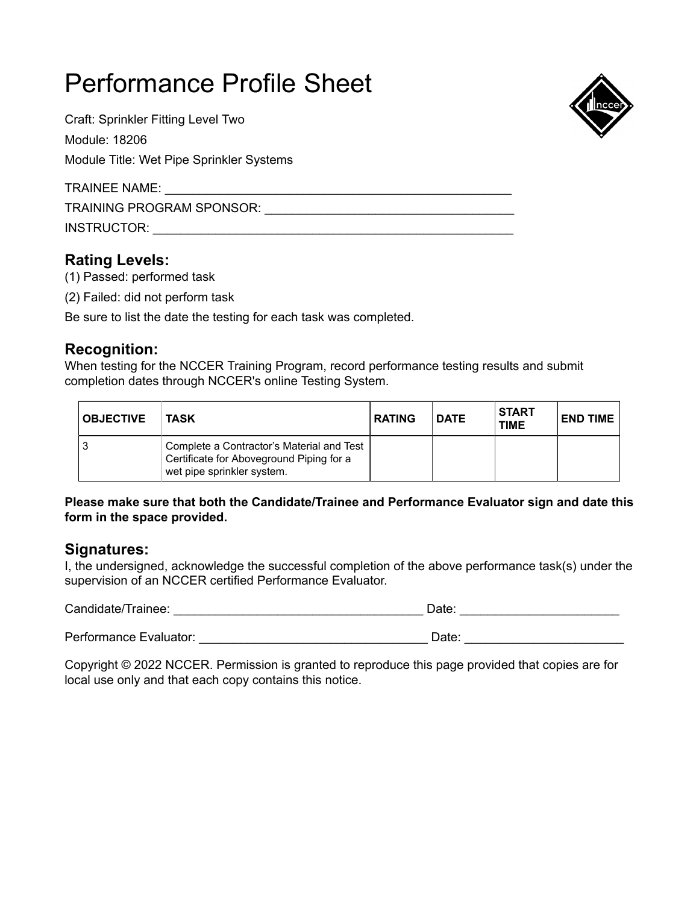Craft: Sprinkler Fitting Level Two Module: 18206 Module Title: Wet Pipe Sprinkler Systems

TRAINEE NAME: \_\_\_\_\_\_\_\_\_\_\_\_\_\_\_\_\_\_\_\_\_\_\_\_\_\_\_\_\_\_\_\_\_\_\_\_\_\_\_\_\_\_\_\_\_\_\_\_\_\_

TRAINING PROGRAM SPONSOR: \_\_\_\_\_\_\_\_\_\_\_\_\_\_\_\_\_\_\_\_\_\_\_\_\_\_\_\_\_\_\_\_\_\_\_\_

INSTRUCTOR: \_\_\_\_\_\_\_\_\_\_\_\_\_\_\_\_\_\_\_\_\_\_\_\_\_\_\_\_\_\_\_\_\_\_\_\_\_\_\_\_\_\_\_\_\_\_\_\_\_\_\_\_

## **Rating Levels:**

- (1) Passed: performed task
- (2) Failed: did not perform task

Be sure to list the date the testing for each task was completed.

## **Recognition:**

When testing for the NCCER Training Program, record performance testing results and submit completion dates through NCCER's online Testing System.

| <b>OBJECTIVE</b> | <b>TASK</b>                                                                                                         | <b>RATING</b> | <b>DATE</b> | <b>START</b><br><b>TIME</b> | <b>END TIME</b> |
|------------------|---------------------------------------------------------------------------------------------------------------------|---------------|-------------|-----------------------------|-----------------|
|                  | Complete a Contractor's Material and Test<br>Certificate for Aboveground Piping for a<br>wet pipe sprinkler system. |               |             |                             |                 |

#### **Please make sure that both the Candidate/Trainee and Performance Evaluator sign and date this form in the space provided.**

#### **Signatures:**

I, the undersigned, acknowledge the successful completion of the above performance task(s) under the supervision of an NCCER certified Performance Evaluator.

Candidate/Trainee: example and the contract of the Date: example and the Date:  $\Box$ 

Performance Evaluator: etc. and the example of the example of the example of the example of the example of the example of the example of the example of the example of the example of the example of the example of the exampl